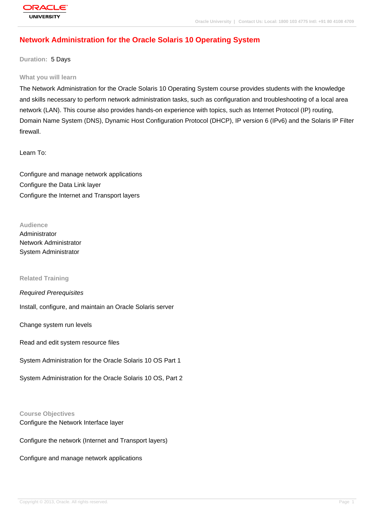# **[Network Admin](http://education.oracle.com/pls/web_prod-plq-dad/db_pages.getpage?page_id=3)istration for the Oracle Solaris 10 Operating System**

**Duration:** 5 Days

#### **What you will learn**

The Network Administration for the Oracle Solaris 10 Operating System course provides students with the knowledge and skills necessary to perform network administration tasks, such as configuration and troubleshooting of a local area network (LAN). This course also provides hands-on experience with topics, such as Internet Protocol (IP) routing, Domain Name System (DNS), Dynamic Host Configuration Protocol (DHCP), IP version 6 (IPv6) and the Solaris IP Filter firewall.

Learn To:

Configure and manage network applications Configure the Data Link layer Configure the Internet and Transport layers

**Audience** Administrator Network Administrator System Administrator

#### **Related Training**

Required Prerequisites Install, configure, and maintain an Oracle Solaris server Change system run levels Read and edit system resource files System Administration for the Oracle Solaris 10 OS Part 1

System Administration for the Oracle Solaris 10 OS, Part 2

#### **Course Objectives**

Configure the Network Interface layer

Configure the network (Internet and Transport layers)

Configure and manage network applications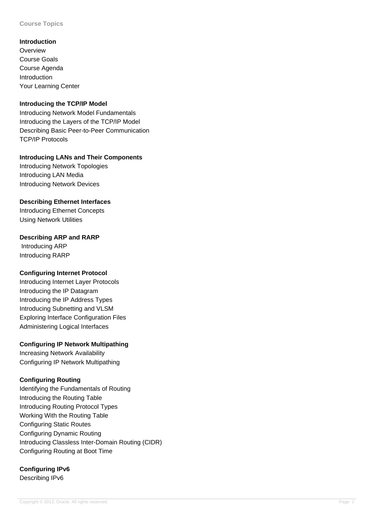**Course Topics**

**Introduction Overview** Course Goals Course Agenda **Introduction** Your Learning Center

#### **Introducing the TCP/IP Model**

Introducing Network Model Fundamentals Introducing the Layers of the TCP/IP Model Describing Basic Peer-to-Peer Communication TCP/IP Protocols

**Introducing LANs and Their Components** Introducing Network Topologies

Introducing LAN Media Introducing Network Devices

#### **Describing Ethernet Interfaces**

Introducing Ethernet Concepts Using Network Utilities

#### **Describing ARP and RARP**

 Introducing ARP Introducing RARP

## **Configuring Internet Protocol**

Introducing Internet Layer Protocols Introducing the IP Datagram Introducing the IP Address Types Introducing Subnetting and VLSM Exploring Interface Configuration Files Administering Logical Interfaces

## **Configuring IP Network Multipathing**

Increasing Network Availability Configuring IP Network Multipathing

## **Configuring Routing**

Identifying the Fundamentals of Routing Introducing the Routing Table Introducing Routing Protocol Types Working With the Routing Table Configuring Static Routes Configuring Dynamic Routing Introducing Classless Inter-Domain Routing (CIDR) Configuring Routing at Boot Time

## **Configuring IPv6**

Describing IPv6